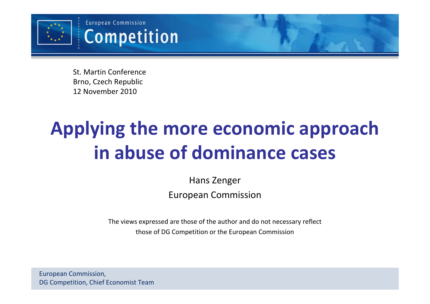

St. Martin Conference Brno, Czech Republic12 November 2010

# Applying the more economic approachin abuse of dominance cases

Hans ZengerEuropean Commission

The views expressed are those of the author and do not necessary reflect those of DG Competition or the European Commission

European Commission, DG Competition, Chief Economist Team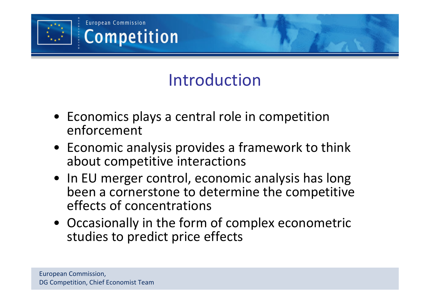

# Introduction

- Economics plays a central role in competition enforcement
- Economic analysis provides a framework to think about competitive interactions
- In EU merger control, economic analysis has long been a cornerstone to determine the competitive effects of concentrations
- Occasionally in the form of complex econometric studies to predict price effects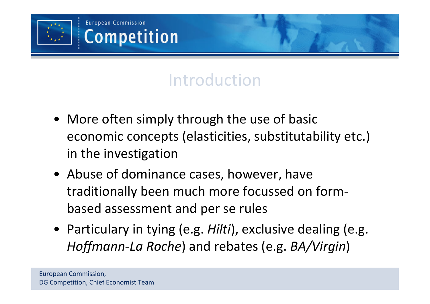

# Introduction

- More often simply through the use of basic economic concepts (elasticities, substitutability etc.) in the investigation
- Abuse of dominance cases, however, have traditionally been much more focussed on formbased assessment and per se rules
- Particulary in tying (e.g. Hilti), exclusive dealing (e.g. Hoffmann-La Roche) and rebates (e.g. BA/Virgin)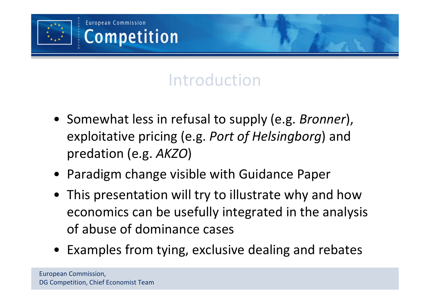

# Introduction

- Somewhat less in refusal to supply (e.g. Bronner), exploitative pricing (e.g. Port of Helsingborg) and predation (e.g. AKZO)
- Paradigm change visible with Guidance Paper
- This presentation will try to illustrate why and how economics can be usefully integrated in the analysis of abuse of dominance cases
- Examples from tying, exclusive dealing and rebates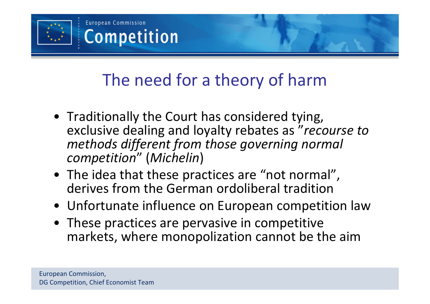

# The need for a theory of harm

- Traditionally the Court has considered tying, exclusive dealing and loyalty rebates as "recourse to methods different from those governing normal competition" (Michelin)
- The idea that these practices are "not normal", derives from the German ordoliberal tradition
- Unfortunate influence on European competition law
- These practices are pervasive in competitive markets, where monopolization cannot be the aim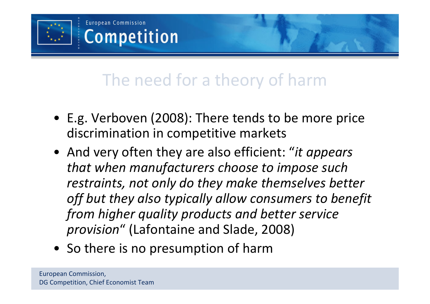

# The need for a theory of harm

- E.g. Verboven (2008): There tends to be more price discrimination in competitive markets
- And very often they are also efficient: "it appears that when manufacturers choose to impose such restraints, not only do they make themselves betteroff but they also typically allow consumers to benefit from higher quality products and better service provision" (Lafontaine and Slade, 2008)
- So there is no presumption of harm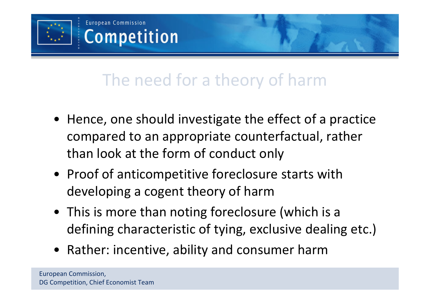

# The need for a theory of harm

- Hence, one should investigate the effect of a practice compared to an appropriate counterfactual, rather than look at the form of conduct only
- Proof of anticompetitive foreclosure starts with developing a cogent theory of harm
- This is more than noting foreclosure (which is a defining characteristic of tying, exclusive dealing etc.)
- Rather: incentive, ability and consumer harm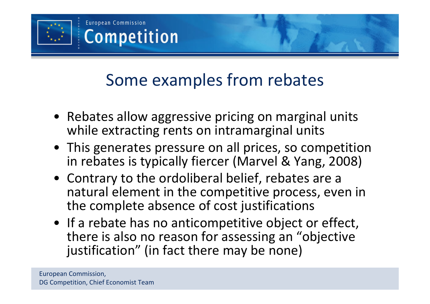

- Rebates allow aggressive pricing on marginal units while extracting rents on intramarginal units
- This generates pressure on all prices, so competition in rebates is typically fiercer (Marvel & Yang, 2008)
- Contrary to the ordoliberal belief, rebates are a natural element in the competitive process, even inthe complete absence of cost justifications
- If a rebate has no anticompetitive object or effect, there is also no reason for assessing an "objectivejustification" (in fact there may be none)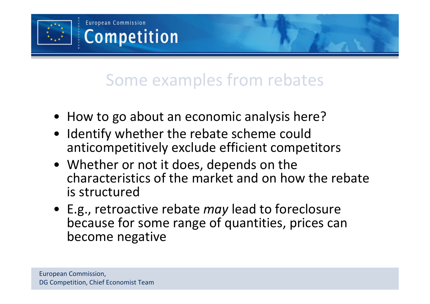

- How to go about an economic analysis here?
- Identify whether the rebate scheme could anticompetitively exclude efficient competitors
- Whether or not it does, depends on the characteristics of the market and on how the rebateis structured
- E.g., retroactive rebate may lead to foreclosure because for some range of quantities, prices can become negative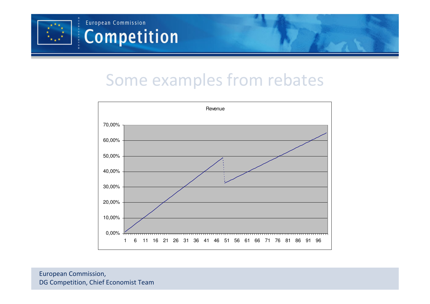



European Commission, DG Competition, Chief Economist Team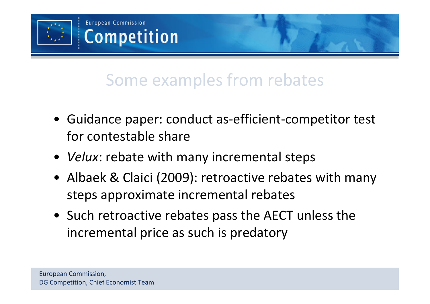

- Guidance paper: conduct as-efficient-competitor test for contestable share
- *Velux*: rebate with many incremental steps
- Albaek & Claici (2009): retroactive rebates with many steps approximate incremental rebates
- Such retroactive rebates pass the AECT unless the incremental price as such is predatory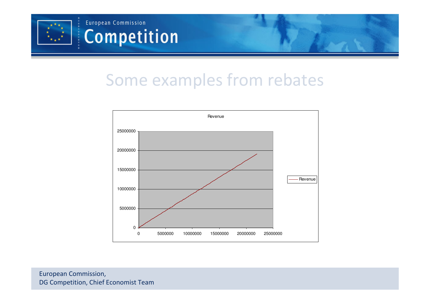



European Commission, DG Competition, Chief Economist Team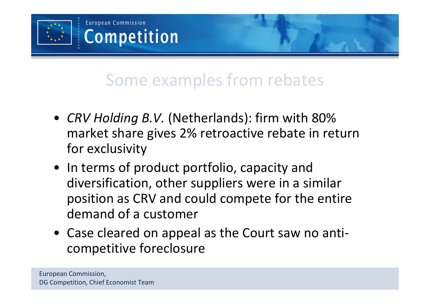

- CRV Holding B.V. (Netherlands): firm with 80% market share gives 2% retroactive rebate in return for exclusivity
- In terms of product portfolio, capacity and diversification, other suppliers were in a similar position as CRV and could compete for the entire demand of a customer
- Case cleared on appeal as the Court saw no anticompetitive foreclosure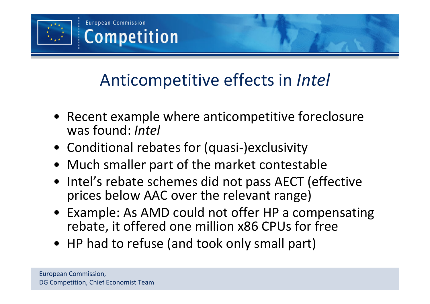

- Recent example where anticompetitive foreclosure was found: Intel
- Conditional rebates for (quasi-)exclusivity
- Much smaller part of the market contestable
- Intel's rebate schemes did not pass AECT (effective prices below AAC over the relevant range)
- Example: As AMD could not offer HP a compensating rebate, it offered one million x86 CPUs for free
- HP had to refuse (and took only small part)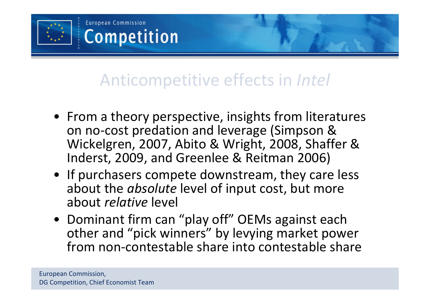

- From a theory perspective, insights from literatures on no-cost predation and leverage (Simpson & Wickelgren, 2007, Abito & Wright, 2008, Shaffer & Inderst, 2009, and Greenlee & Reitman 2006)
- If purchasers compete downstream, they care less about the *absolute* level of input cost, but more about *relative* level
- Dominant firm can "play off" OEMs against each other and "pick winners" by levying market power from non-contestable share into contestable share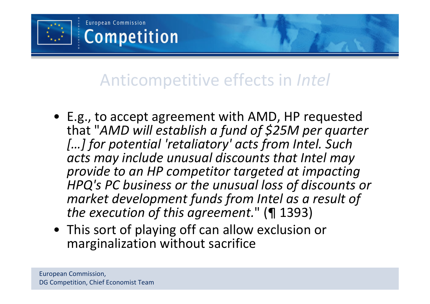

- E.g., to accept agreement with AMD, HP requested that "AMD will establish a fund of \$25M per quarter [...] for potential 'retaliatory' acts from Intel. Such acts may include unusual discounts that Intel may provide to an HP competitor targeted at impacting HPQ's PC business or the unusual loss of discounts or market development funds from Intel as a result of the execution of this agreement." (¶ 1393)
- This sort of playing off can allow exclusion or marginalization without sacrifice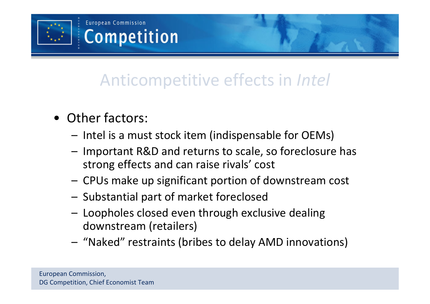

- Other factors:
	- –Intel is a must stock item (indispensable for OEMs)
	- – Important R&D and returns to scale, so foreclosure has strong effects and can raise rivals' cost
	- –CPUs make up significant portion of downstream cost
	- –Substantial part of market foreclosed
	- – Loopholes closed even through exclusive dealing downstream (retailers)
	- "Naked" restraints (bribes to delay AMD innovations)